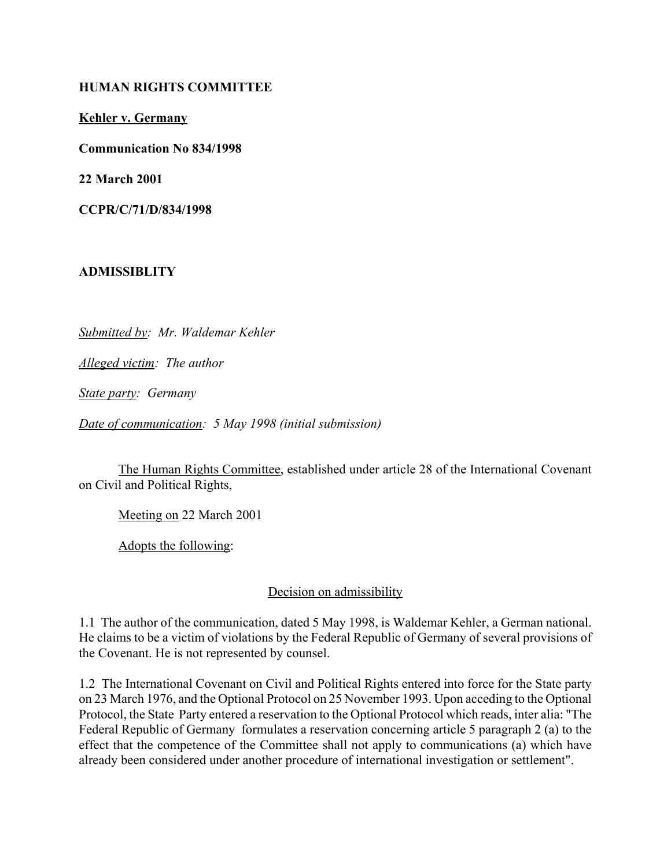#### **HUMAN RIGHTS COMMITTEE**

**Kehler v. Germany**

**Communication No 834/1998**

**22 March 2001**

**CCPR/C/71/D/834/1998** 

## **ADMISSIBLITY**

*Submitted by: Mr. Waldemar Kehler* 

*Alleged victim: The author* 

*State party: Germany* 

*Date of communication: 5 May 1998 (initial submission)*

The Human Rights Committee, established under article 28 of the International Covenant on Civil and Political Rights,

Meeting on 22 March 2001

Adopts the following:

## Decision on admissibility

1.1 The author of the communication, dated 5 May 1998, is Waldemar Kehler, a German national. He claims to be a victim of violations by the Federal Republic of Germany of several provisions of the Covenant. He is not represented by counsel.

1.2 The International Covenant on Civil and Political Rights entered into force for the State party on 23 March 1976, and the Optional Protocol on 25 November 1993. Upon acceding to the Optional Protocol, the State Party entered a reservation to the Optional Protocol which reads, inter alia: "The Federal Republic of Germany formulates a reservation concerning article 5 paragraph 2 (a) to the effect that the competence of the Committee shall not apply to communications (a) which have already been considered under another procedure of international investigation or settlement".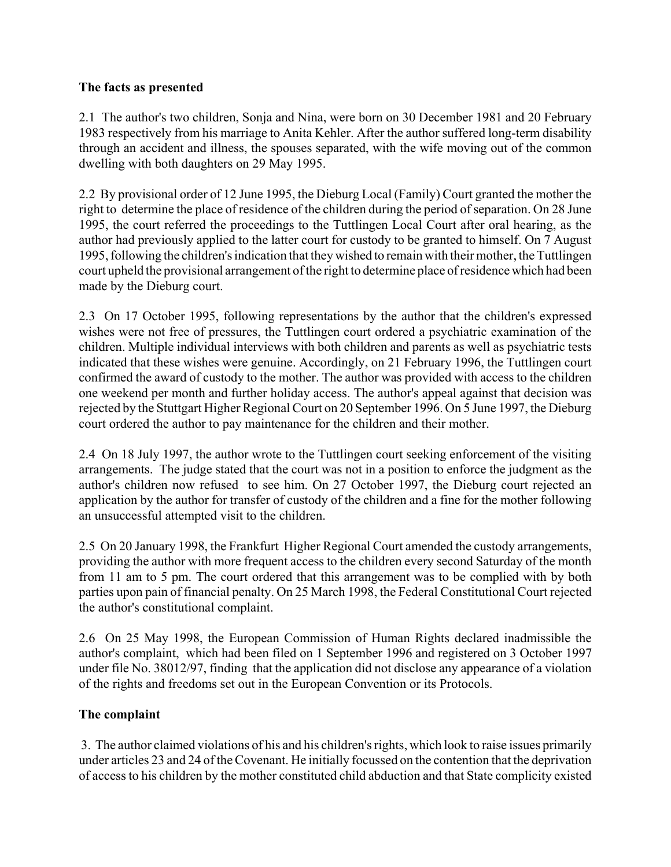#### **The facts as presented**

2.1 The author's two children, Sonja and Nina, were born on 30 December 1981 and 20 February 1983 respectively from his marriage to Anita Kehler. After the author suffered long-term disability through an accident and illness, the spouses separated, with the wife moving out of the common dwelling with both daughters on 29 May 1995.

2.2 By provisional order of 12 June 1995, the Dieburg Local (Family) Court granted the mother the right to determine the place of residence of the children during the period of separation. On 28 June 1995, the court referred the proceedings to the Tuttlingen Local Court after oral hearing, as the author had previously applied to the latter court for custody to be granted to himself. On 7 August 1995, following the children's indication that they wished to remain with their mother, the Tuttlingen court upheld the provisional arrangement of the right to determine place of residence which had been made by the Dieburg court.

2.3 On 17 October 1995, following representations by the author that the children's expressed wishes were not free of pressures, the Tuttlingen court ordered a psychiatric examination of the children. Multiple individual interviews with both children and parents as well as psychiatric tests indicated that these wishes were genuine. Accordingly, on 21 February 1996, the Tuttlingen court confirmed the award of custody to the mother. The author was provided with access to the children one weekend per month and further holiday access. The author's appeal against that decision was rejected by the Stuttgart Higher Regional Court on 20 September 1996. On 5 June 1997, the Dieburg court ordered the author to pay maintenance for the children and their mother.

2.4 On 18 July 1997, the author wrote to the Tuttlingen court seeking enforcement of the visiting arrangements. The judge stated that the court was not in a position to enforce the judgment as the author's children now refused to see him. On 27 October 1997, the Dieburg court rejected an application by the author for transfer of custody of the children and a fine for the mother following an unsuccessful attempted visit to the children.

2.5 On 20 January 1998, the Frankfurt Higher Regional Court amended the custody arrangements, providing the author with more frequent access to the children every second Saturday of the month from 11 am to 5 pm. The court ordered that this arrangement was to be complied with by both parties upon pain of financial penalty. On 25 March 1998, the Federal Constitutional Court rejected the author's constitutional complaint.

2.6 On 25 May 1998, the European Commission of Human Rights declared inadmissible the author's complaint, which had been filed on 1 September 1996 and registered on 3 October 1997 under file No. 38012/97, finding that the application did not disclose any appearance of a violation of the rights and freedoms set out in the European Convention or its Protocols.

## **The complaint**

 3. The author claimed violations of his and his children's rights, which look to raise issues primarily under articles 23 and 24 of the Covenant. He initially focussed on the contention that the deprivation of access to his children by the mother constituted child abduction and that State complicity existed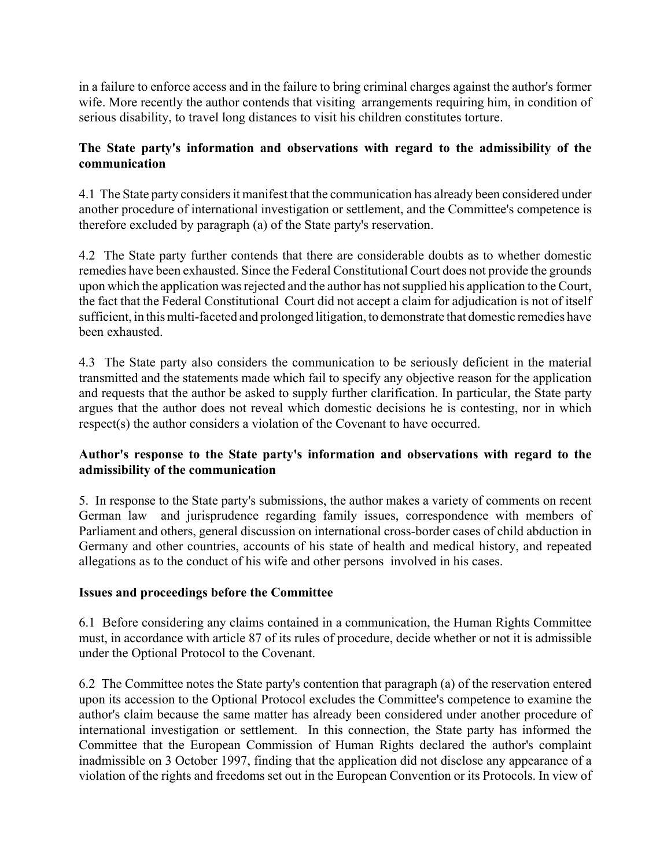in a failure to enforce access and in the failure to bring criminal charges against the author's former wife. More recently the author contends that visiting arrangements requiring him, in condition of serious disability, to travel long distances to visit his children constitutes torture.

# **The State party's information and observations with regard to the admissibility of the communication**

4.1 The State party considers it manifest that the communication has already been considered under another procedure of international investigation or settlement, and the Committee's competence is therefore excluded by paragraph (a) of the State party's reservation.

4.2 The State party further contends that there are considerable doubts as to whether domestic remedies have been exhausted. Since the Federal Constitutional Court does not provide the grounds upon which the application was rejected and the author has not supplied his application to the Court, the fact that the Federal Constitutional Court did not accept a claim for adjudication is not of itself sufficient, in this multi-faceted and prolonged litigation, to demonstrate that domestic remedies have been exhausted.

4.3 The State party also considers the communication to be seriously deficient in the material transmitted and the statements made which fail to specify any objective reason for the application and requests that the author be asked to supply further clarification. In particular, the State party argues that the author does not reveal which domestic decisions he is contesting, nor in which respect(s) the author considers a violation of the Covenant to have occurred.

# **Author's response to the State party's information and observations with regard to the admissibility of the communication**

5. In response to the State party's submissions, the author makes a variety of comments on recent German law and jurisprudence regarding family issues, correspondence with members of Parliament and others, general discussion on international cross-border cases of child abduction in Germany and other countries, accounts of his state of health and medical history, and repeated allegations as to the conduct of his wife and other persons involved in his cases.

# **Issues and proceedings before the Committee**

6.1 Before considering any claims contained in a communication, the Human Rights Committee must, in accordance with article 87 of its rules of procedure, decide whether or not it is admissible under the Optional Protocol to the Covenant.

6.2 The Committee notes the State party's contention that paragraph (a) of the reservation entered upon its accession to the Optional Protocol excludes the Committee's competence to examine the author's claim because the same matter has already been considered under another procedure of international investigation or settlement. In this connection, the State party has informed the Committee that the European Commission of Human Rights declared the author's complaint inadmissible on 3 October 1997, finding that the application did not disclose any appearance of a violation of the rights and freedoms set out in the European Convention or its Protocols. In view of